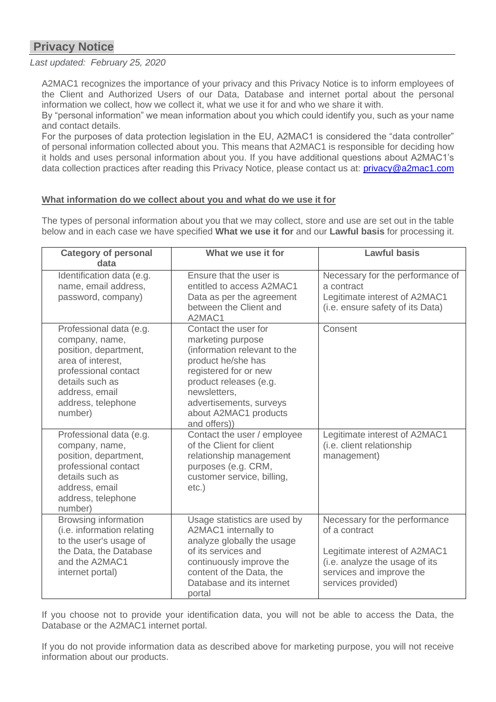# **Privacy Notice**

# *Last updated: February 25, 2020*

A2MAC1 recognizes the importance of your privacy and this Privacy Notice is to inform employees of the Client and Authorized Users of our Data, Database and internet portal about the personal information we collect, how we collect it, what we use it for and who we share it with.

By "personal information" we mean information about you which could identify you, such as your name and contact details.

For the purposes of data protection legislation in the EU, A2MAC1 is considered the "data controller" of personal information collected about you. This means that A2MAC1 is responsible for deciding how it holds and uses personal information about you. If you have additional questions about A2MAC1's data collection practices after reading this Privacy Notice, please contact us at: [privacy@a2mac1.com](mailto:privacy@a2mac1.com)

# **What information do we collect about you and what do we use it for**

The types of personal information about you that we may collect, store and use are set out in the table below and in each case we have specified **What we use it for** and our **Lawful basis** for processing it.

| <b>Category of personal</b><br>data                                                                                                                                                   | What we use it for                                                                                                                                                                                                                     | <b>Lawful basis</b>                                                                                                                                                 |
|---------------------------------------------------------------------------------------------------------------------------------------------------------------------------------------|----------------------------------------------------------------------------------------------------------------------------------------------------------------------------------------------------------------------------------------|---------------------------------------------------------------------------------------------------------------------------------------------------------------------|
| Identification data (e.g.<br>name, email address,<br>password, company)                                                                                                               | Ensure that the user is<br>entitled to access A2MAC1<br>Data as per the agreement<br>between the Client and<br>A2MAC1                                                                                                                  | Necessary for the performance of<br>a contract<br>Legitimate interest of A2MAC1<br>(i.e. ensure safety of its Data)                                                 |
| Professional data (e.g.<br>company, name,<br>position, department,<br>area of interest,<br>professional contact<br>details such as<br>address, email<br>address, telephone<br>number) | Contact the user for<br>marketing purpose<br>(information relevant to the<br>product he/she has<br>registered for or new<br>product releases (e.g.<br>newsletters,<br>advertisements, surveys<br>about A2MAC1 products<br>and offers)) | Consent                                                                                                                                                             |
| Professional data (e.g.<br>company, name,<br>position, department,<br>professional contact<br>details such as<br>address, email<br>address, telephone<br>number)                      | Contact the user / employee<br>of the Client for client<br>relationship management<br>purposes (e.g. CRM,<br>customer service, billing,<br>$etc.$ )                                                                                    | Legitimate interest of A2MAC1<br>(i.e. client relationship<br>management)                                                                                           |
| <b>Browsing information</b><br>(i.e. information relating<br>to the user's usage of<br>the Data, the Database<br>and the A2MAC1<br>internet portal)                                   | Usage statistics are used by<br>A2MAC1 internally to<br>analyze globally the usage<br>of its services and<br>continuously improve the<br>content of the Data, the<br>Database and its internet<br>portal                               | Necessary for the performance<br>of a contract<br>Legitimate interest of A2MAC1<br>(i.e. analyze the usage of its<br>services and improve the<br>services provided) |

If you choose not to provide your identification data, you will not be able to access the Data, the Database or the A2MAC1 internet portal.

If you do not provide information data as described above for marketing purpose, you will not receive information about our products.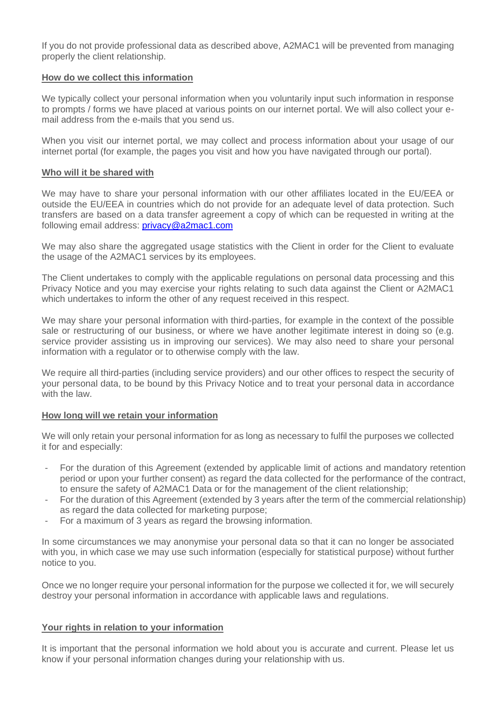If you do not provide professional data as described above, A2MAC1 will be prevented from managing properly the client relationship.

#### **How do we collect this information**

We typically collect your personal information when you voluntarily input such information in response to prompts / forms we have placed at various points on our internet portal. We will also collect your email address from the e-mails that you send us.

When you visit our internet portal, we may collect and process information about your usage of our internet portal (for example, the pages you visit and how you have navigated through our portal).

#### **Who will it be shared with**

We may have to share your personal information with our other affiliates located in the EU/EEA or outside the EU/EEA in countries which do not provide for an adequate level of data protection. Such transfers are based on a data transfer agreement a copy of which can be requested in writing at the following email address: [privacy@a2mac1.com](mailto:privacy@a2mac1.com)

We may also share the aggregated usage statistics with the Client in order for the Client to evaluate the usage of the A2MAC1 services by its employees.

The Client undertakes to comply with the applicable regulations on personal data processing and this Privacy Notice and you may exercise your rights relating to such data against the Client or A2MAC1 which undertakes to inform the other of any request received in this respect.

We may share your personal information with third-parties, for example in the context of the possible sale or restructuring of our business, or where we have another legitimate interest in doing so (e.g. service provider assisting us in improving our services). We may also need to share your personal information with a regulator or to otherwise comply with the law.

We require all third-parties (including service providers) and our other offices to respect the security of your personal data, to be bound by this Privacy Notice and to treat your personal data in accordance with the law.

## **How long will we retain your information**

We will only retain your personal information for as long as necessary to fulfil the purposes we collected it for and especially:

- For the duration of this Agreement (extended by applicable limit of actions and mandatory retention period or upon your further consent) as regard the data collected for the performance of the contract, to ensure the safety of A2MAC1 Data or for the management of the client relationship;
- For the duration of this Agreement (extended by 3 years after the term of the commercial relationship) as regard the data collected for marketing purpose;
- For a maximum of 3 years as regard the browsing information.

In some circumstances we may anonymise your personal data so that it can no longer be associated with you, in which case we may use such information (especially for statistical purpose) without further notice to you.

Once we no longer require your personal information for the purpose we collected it for, we will securely destroy your personal information in accordance with applicable laws and regulations.

## **Your rights in relation to your information**

It is important that the personal information we hold about you is accurate and current. Please let us know if your personal information changes during your relationship with us.